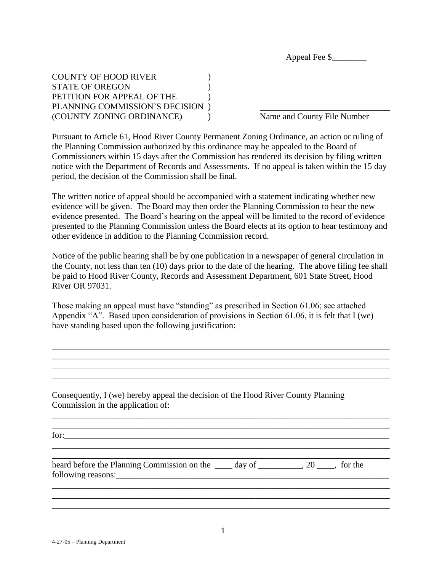Appeal Fee \$\_\_\_\_\_\_\_\_

COUNTY OF HOOD RIVER (2002) STATE OF OREGON PETITION FOR APPEAL OF THE  $\qquad \qquad$  ) PLANNING COMMISSION'S DECISION ) (COUNTY ZONING ORDINANCE) ) Name and County File Number

Pursuant to Article 61, Hood River County Permanent Zoning Ordinance, an action or ruling of the Planning Commission authorized by this ordinance may be appealed to the Board of Commissioners within 15 days after the Commission has rendered its decision by filing written notice with the Department of Records and Assessments. If no appeal is taken within the 15 day period, the decision of the Commission shall be final.

The written notice of appeal should be accompanied with a statement indicating whether new evidence will be given. The Board may then order the Planning Commission to hear the new evidence presented. The Board's hearing on the appeal will be limited to the record of evidence presented to the Planning Commission unless the Board elects at its option to hear testimony and other evidence in addition to the Planning Commission record.

Notice of the public hearing shall be by one publication in a newspaper of general circulation in the County, not less than ten (10) days prior to the date of the hearing. The above filing fee shall be paid to Hood River County, Records and Assessment Department, 601 State Street, Hood River OR 97031.

Those making an appeal must have "standing" as prescribed in Section 61.06; see attached Appendix "A". Based upon consideration of provisions in Section 61.06, it is felt that I (we) have standing based upon the following justification:

\_\_\_\_\_\_\_\_\_\_\_\_\_\_\_\_\_\_\_\_\_\_\_\_\_\_\_\_\_\_\_\_\_\_\_\_\_\_\_\_\_\_\_\_\_\_\_\_\_\_\_\_\_\_\_\_\_\_\_\_\_\_\_\_\_\_\_\_\_\_\_\_\_\_\_\_\_\_ \_\_\_\_\_\_\_\_\_\_\_\_\_\_\_\_\_\_\_\_\_\_\_\_\_\_\_\_\_\_\_\_\_\_\_\_\_\_\_\_\_\_\_\_\_\_\_\_\_\_\_\_\_\_\_\_\_\_\_\_\_\_\_\_\_\_\_\_\_\_\_\_\_\_\_\_\_\_ \_\_\_\_\_\_\_\_\_\_\_\_\_\_\_\_\_\_\_\_\_\_\_\_\_\_\_\_\_\_\_\_\_\_\_\_\_\_\_\_\_\_\_\_\_\_\_\_\_\_\_\_\_\_\_\_\_\_\_\_\_\_\_\_\_\_\_\_\_\_\_\_\_\_\_\_\_\_ \_\_\_\_\_\_\_\_\_\_\_\_\_\_\_\_\_\_\_\_\_\_\_\_\_\_\_\_\_\_\_\_\_\_\_\_\_\_\_\_\_\_\_\_\_\_\_\_\_\_\_\_\_\_\_\_\_\_\_\_\_\_\_\_\_\_\_\_\_\_\_\_\_\_\_\_\_\_

\_\_\_\_\_\_\_\_\_\_\_\_\_\_\_\_\_\_\_\_\_\_\_\_\_\_\_\_\_\_\_\_\_\_\_\_\_\_\_\_\_\_\_\_\_\_\_\_\_\_\_\_\_\_\_\_\_\_\_\_\_\_\_\_\_\_\_\_\_\_\_\_\_\_\_\_\_\_ \_\_\_\_\_\_\_\_\_\_\_\_\_\_\_\_\_\_\_\_\_\_\_\_\_\_\_\_\_\_\_\_\_\_\_\_\_\_\_\_\_\_\_\_\_\_\_\_\_\_\_\_\_\_\_\_\_\_\_\_\_\_\_\_\_\_\_\_\_\_\_\_\_\_\_\_\_\_

Consequently, I (we) hereby appeal the decision of the Hood River County Planning Commission in the application of:

for:

| heard before the Planning Commission on the _____ day of | $\overline{20}$ | for the |
|----------------------------------------------------------|-----------------|---------|
| following reasons:                                       |                 |         |

\_\_\_\_\_\_\_\_\_\_\_\_\_\_\_\_\_\_\_\_\_\_\_\_\_\_\_\_\_\_\_\_\_\_\_\_\_\_\_\_\_\_\_\_\_\_\_\_\_\_\_\_\_\_\_\_\_\_\_\_\_\_\_\_\_\_\_\_\_\_\_\_\_\_\_\_\_\_ \_\_\_\_\_\_\_\_\_\_\_\_\_\_\_\_\_\_\_\_\_\_\_\_\_\_\_\_\_\_\_\_\_\_\_\_\_\_\_\_\_\_\_\_\_\_\_\_\_\_\_\_\_\_\_\_\_\_\_\_\_\_\_\_\_\_\_\_\_\_\_\_\_\_\_\_\_\_ \_\_\_\_\_\_\_\_\_\_\_\_\_\_\_\_\_\_\_\_\_\_\_\_\_\_\_\_\_\_\_\_\_\_\_\_\_\_\_\_\_\_\_\_\_\_\_\_\_\_\_\_\_\_\_\_\_\_\_\_\_\_\_\_\_\_\_\_\_\_\_\_\_\_\_\_\_\_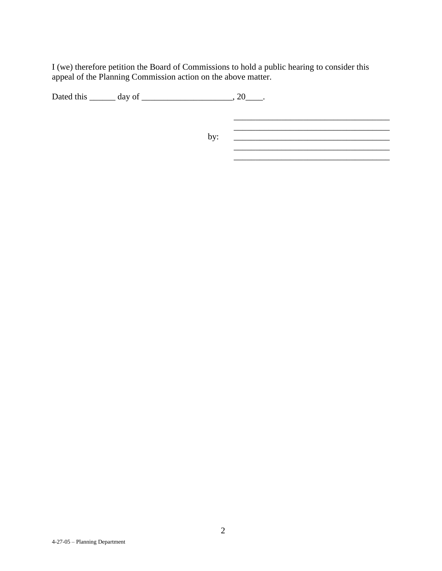I (we) therefore petition the Board of Commissions to hold a public hearing to consider this appeal of the Planning Commission action on the above matter.

Dated this \_\_\_\_\_\_\_ day of \_\_\_\_\_\_\_\_\_\_\_\_\_\_\_\_\_\_\_\_\_, 20\_\_\_\_\_.

 $\mathcal{L}_\text{max}$  , where  $\mathcal{L}_\text{max}$  and  $\mathcal{L}_\text{max}$  and  $\mathcal{L}_\text{max}$ by: \_\_\_\_\_\_\_\_\_\_\_\_\_\_\_\_\_\_\_\_\_\_\_\_\_\_\_\_\_\_\_\_\_\_\_\_ \_\_\_\_\_\_\_\_\_\_\_\_\_\_\_\_\_\_\_\_\_\_\_\_\_\_\_\_\_\_\_\_\_\_\_\_

\_\_\_\_\_\_\_\_\_\_\_\_\_\_\_\_\_\_\_\_\_\_\_\_\_\_\_\_\_\_\_\_\_\_\_\_

\_\_\_\_\_\_\_\_\_\_\_\_\_\_\_\_\_\_\_\_\_\_\_\_\_\_\_\_\_\_\_\_\_\_\_\_